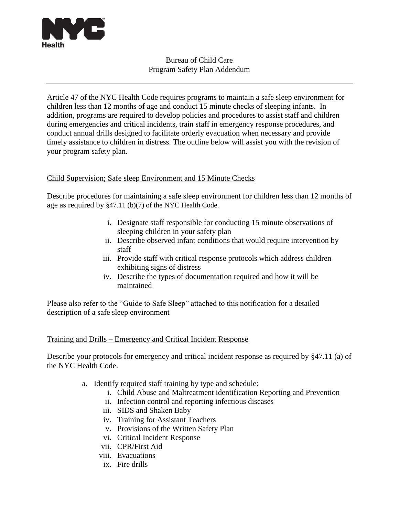

## Bureau of Child Care Program Safety Plan Addendum

Article 47 of the NYC Health Code requires programs to maintain a safe sleep environment for children less than 12 months of age and conduct 15 minute checks of sleeping infants. In addition, programs are required to develop policies and procedures to assist staff and children during emergencies and critical incidents, train staff in emergency response procedures, and conduct annual drills designed to facilitate orderly evacuation when necessary and provide timely assistance to children in distress. The outline below will assist you with the revision of your program safety plan.

## Child Supervision; Safe sleep Environment and 15 Minute Checks

Describe procedures for maintaining a safe sleep environment for children less than 12 months of age as required by §47.11 (b)(7) of the NYC Health Code.

- i. Designate staff responsible for conducting 15 minute observations of sleeping children in your safety plan
- ii. Describe observed infant conditions that would require intervention by staff
- iii. Provide staff with critical response protocols which address children exhibiting signs of distress
- iv. Describe the types of documentation required and how it will be maintained

Please also refer to the "Guide to Safe Sleep" attached to this notification for a detailed description of a safe sleep environment

## Training and Drills – Emergency and Critical Incident Response

Describe your protocols for emergency and critical incident response as required by §47.11 (a) of the NYC Health Code.

- a. Identify required staff training by type and schedule:
	- i. Child Abuse and Maltreatment identification Reporting and Prevention
	- ii. Infection control and reporting infectious diseases
	- iii. SIDS and Shaken Baby
	- iv. Training for Assistant Teachers
	- v. Provisions of the Written Safety Plan
	- vi. Critical Incident Response
	- vii. CPR/First Aid
	- viii. Evacuations
	- ix. Fire drills